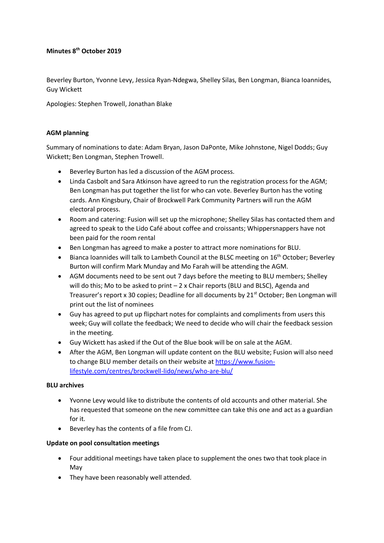#### **Minutes 8th October 2019**

Beverley Burton, Yvonne Levy, Jessica Ryan-Ndegwa, Shelley Silas, Ben Longman, Bianca Ioannides, Guy Wickett

Apologies: Stephen Trowell, Jonathan Blake

#### **AGM planning**

Summary of nominations to date: Adam Bryan, Jason DaPonte, Mike Johnstone, Nigel Dodds; Guy Wickett; Ben Longman, Stephen Trowell.

- Beverley Burton has led a discussion of the AGM process.
- Linda Casbolt and Sara Atkinson have agreed to run the registration process for the AGM; Ben Longman has put together the list for who can vote. Beverley Burton has the voting cards. Ann Kingsbury, Chair of Brockwell Park Community Partners will run the AGM electoral process.
- Room and catering: Fusion will set up the microphone; Shelley Silas has contacted them and agreed to speak to the Lido Café about coffee and croissants; Whippersnappers have not been paid for the room rental
- Ben Longman has agreed to make a poster to attract more nominations for BLU.
- Bianca Ioannides will talk to Lambeth Council at the BLSC meeting on 16<sup>th</sup> October; Beverley Burton will confirm Mark Munday and Mo Farah will be attending the AGM.
- AGM documents need to be sent out 7 days before the meeting to BLU members; Shelley will do this; Mo to be asked to print  $-2x$  Chair reports (BLU and BLSC), Agenda and Treasurer's report x 30 copies; Deadline for all documents by 21<sup>st</sup> October; Ben Longman will print out the list of nominees
- Guy has agreed to put up flipchart notes for complaints and compliments from users this week; Guy will collate the feedback; We need to decide who will chair the feedback session in the meeting.
- Guy Wickett has asked if the Out of the Blue book will be on sale at the AGM.
- After the AGM, Ben Longman will update content on the BLU website; Fusion will also need to change BLU member details on their website at [https://www.fusion](https://www.fusion-lifestyle.com/centres/brockwell-lido/news/who-are-blu/)[lifestyle.com/centres/brockwell-lido/news/who-are-blu/](https://www.fusion-lifestyle.com/centres/brockwell-lido/news/who-are-blu/)

## **BLU archives**

- Yvonne Levy would like to distribute the contents of old accounts and other material. She has requested that someone on the new committee can take this one and act as a guardian for it.
- Beverley has the contents of a file from CJ.

## **Update on pool consultation meetings**

- Four additional meetings have taken place to supplement the ones two that took place in May
- They have been reasonably well attended.